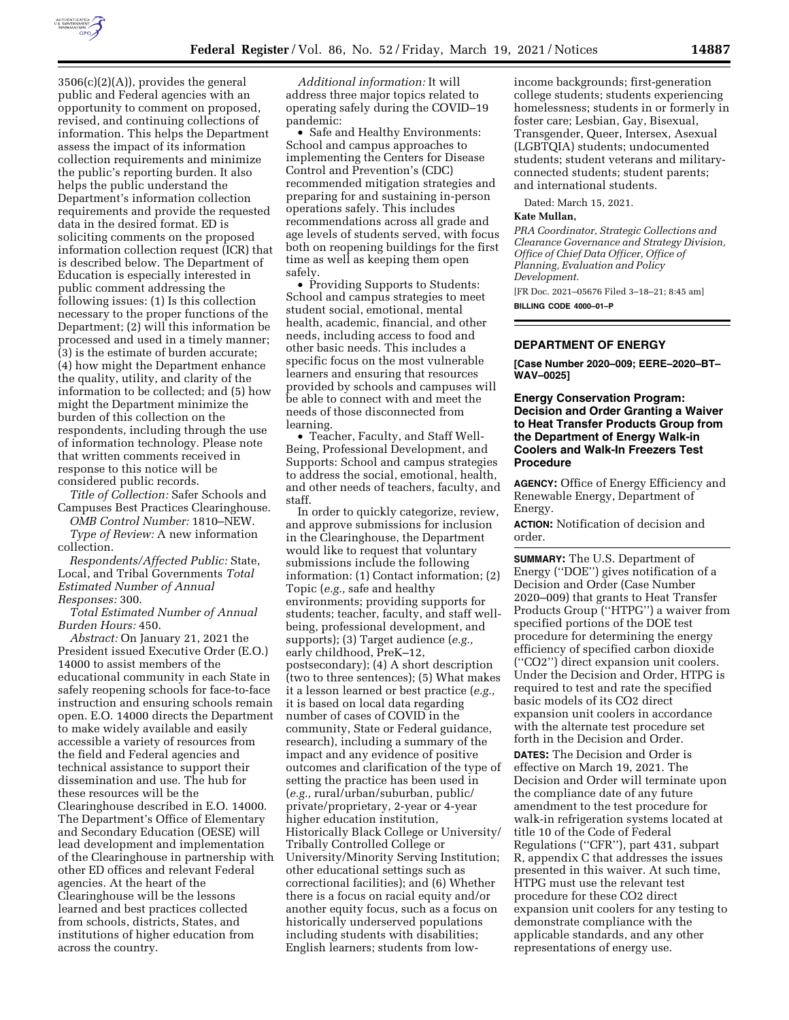

 $3506(c)(2)(A)$ , provides the general public and Federal agencies with an opportunity to comment on proposed, revised, and continuing collections of information. This helps the Department assess the impact of its information collection requirements and minimize the public's reporting burden. It also helps the public understand the Department's information collection requirements and provide the requested data in the desired format. ED is soliciting comments on the proposed information collection request (ICR) that is described below. The Department of Education is especially interested in public comment addressing the following issues: (1) Is this collection necessary to the proper functions of the Department; (2) will this information be processed and used in a timely manner; (3) is the estimate of burden accurate; (4) how might the Department enhance the quality, utility, and clarity of the information to be collected; and (5) how might the Department minimize the burden of this collection on the respondents, including through the use of information technology. Please note that written comments received in response to this notice will be considered public records.

*Title of Collection:* Safer Schools and Campuses Best Practices Clearinghouse.

*OMB Control Number:* 1810–NEW. *Type of Review:* A new information collection.

*Respondents/Affected Public:* State, Local, and Tribal Governments *Total Estimated Number of Annual Responses:* 300.

*Total Estimated Number of Annual Burden Hours:* 450.

*Abstract:* On January 21, 2021 the President issued Executive Order (E.O.) 14000 to assist members of the educational community in each State in safely reopening schools for face-to-face instruction and ensuring schools remain open. E.O. 14000 directs the Department to make widely available and easily accessible a variety of resources from the field and Federal agencies and technical assistance to support their dissemination and use. The hub for these resources will be the Clearinghouse described in E.O. 14000. The Department's Office of Elementary and Secondary Education (OESE) will lead development and implementation of the Clearinghouse in partnership with other ED offices and relevant Federal agencies. At the heart of the Clearinghouse will be the lessons learned and best practices collected from schools, districts, States, and institutions of higher education from across the country.

*Additional information:* It will address three major topics related to operating safely during the COVID–19 pandemic:

• Safe and Healthy Environments: School and campus approaches to implementing the Centers for Disease Control and Prevention's (CDC) recommended mitigation strategies and preparing for and sustaining in-person operations safely. This includes recommendations across all grade and age levels of students served, with focus both on reopening buildings for the first time as well as keeping them open safely.

• Providing Supports to Students: School and campus strategies to meet student social, emotional, mental health, academic, financial, and other needs, including access to food and other basic needs. This includes a specific focus on the most vulnerable learners and ensuring that resources provided by schools and campuses will be able to connect with and meet the needs of those disconnected from learning.

• Teacher, Faculty, and Staff Well-Being, Professional Development, and Supports: School and campus strategies to address the social, emotional, health, and other needs of teachers, faculty, and staff.

In order to quickly categorize, review, and approve submissions for inclusion in the Clearinghouse, the Department would like to request that voluntary submissions include the following information: (1) Contact information; (2) Topic (*e.g.,* safe and healthy environments; providing supports for students; teacher, faculty, and staff wellbeing, professional development, and supports); (3) Target audience (*e.g.,*  early childhood, PreK–12, postsecondary); (4) A short description (two to three sentences); (5) What makes it a lesson learned or best practice (*e.g.,*  it is based on local data regarding number of cases of COVID in the community, State or Federal guidance, research), including a summary of the impact and any evidence of positive outcomes and clarification of the type of setting the practice has been used in (*e.g.,* rural/urban/suburban, public/ private/proprietary, 2-year or 4-year higher education institution, Historically Black College or University/ Tribally Controlled College or University/Minority Serving Institution; other educational settings such as correctional facilities); and (6) Whether there is a focus on racial equity and/or another equity focus, such as a focus on historically underserved populations including students with disabilities; English learners; students from lowincome backgrounds; first-generation college students; students experiencing homelessness; students in or formerly in foster care; Lesbian, Gay, Bisexual, Transgender, Queer, Intersex, Asexual (LGBTQIA) students; undocumented students; student veterans and militaryconnected students; student parents; and international students.

Dated: March 15, 2021.

#### **Kate Mullan,**

*PRA Coordinator, Strategic Collections and Clearance Governance and Strategy Division, Office of Chief Data Officer, Office of Planning, Evaluation and Policy Development.* 

[FR Doc. 2021–05676 Filed 3–18–21; 8:45 am] **BILLING CODE 4000–01–P** 

#### **DEPARTMENT OF ENERGY**

**[Case Number 2020–009; EERE–2020–BT– WAV–0025]** 

## **Energy Conservation Program: Decision and Order Granting a Waiver to Heat Transfer Products Group from the Department of Energy Walk-in Coolers and Walk-In Freezers Test Procedure**

**AGENCY:** Office of Energy Efficiency and Renewable Energy, Department of Energy.

**ACTION:** Notification of decision and order.

**SUMMARY:** The U.S. Department of Energy (''DOE'') gives notification of a Decision and Order (Case Number 2020–009) that grants to Heat Transfer Products Group ("HTPG") a waiver from specified portions of the DOE test procedure for determining the energy efficiency of specified carbon dioxide (''CO2'') direct expansion unit coolers. Under the Decision and Order, HTPG is required to test and rate the specified basic models of its CO2 direct expansion unit coolers in accordance with the alternate test procedure set forth in the Decision and Order.

**DATES:** The Decision and Order is effective on March 19, 2021. The Decision and Order will terminate upon the compliance date of any future amendment to the test procedure for walk-in refrigeration systems located at title 10 of the Code of Federal Regulations (''CFR''), part 431, subpart R, appendix C that addresses the issues presented in this waiver. At such time, HTPG must use the relevant test procedure for these CO2 direct expansion unit coolers for any testing to demonstrate compliance with the applicable standards, and any other representations of energy use.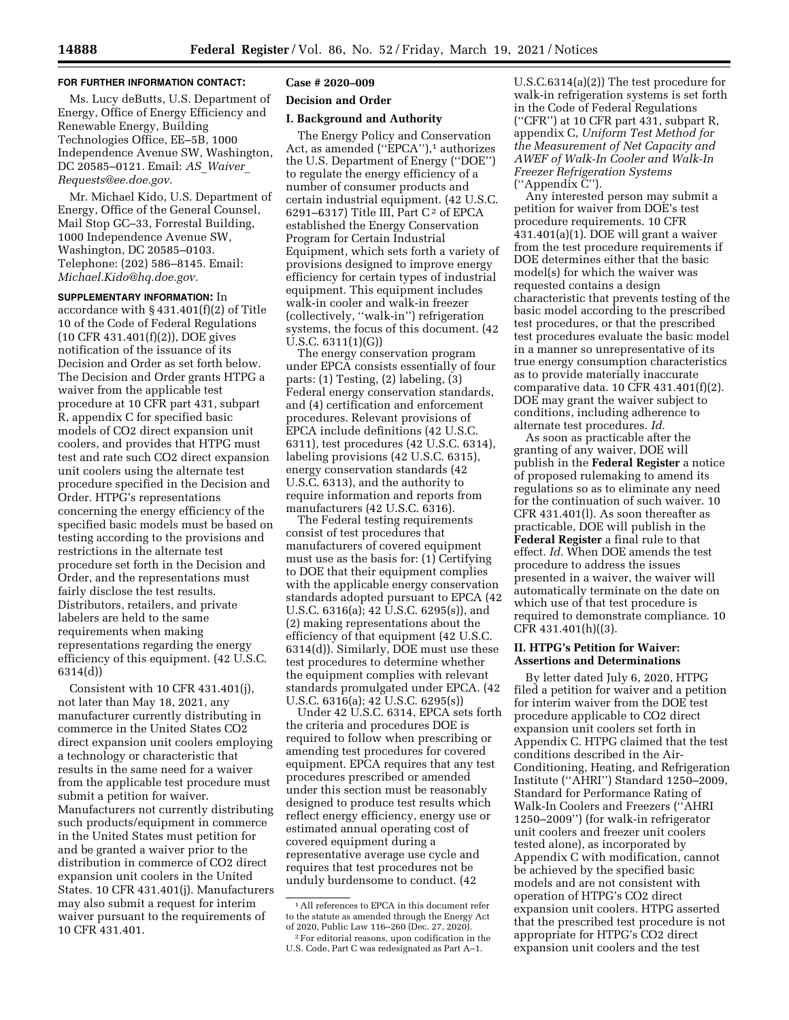### **FOR FURTHER INFORMATION CONTACT:**

Ms. Lucy deButts, U.S. Department of Energy, Office of Energy Efficiency and Renewable Energy, Building Technologies Office, EE–5B, 1000 Independence Avenue SW, Washington, DC 20585–0121. Email: *AS*\_*[Waiver](mailto:AS_Waiver_Requests@ee.doe.gov)*\_ *[Requests@ee.doe.gov.](mailto:AS_Waiver_Requests@ee.doe.gov)* 

Mr. Michael Kido, U.S. Department of Energy, Office of the General Counsel, Mail Stop GC–33, Forrestal Building, 1000 Independence Avenue SW, Washington, DC 20585–0103. Telephone: (202) 586–8145. Email: *[Michael.Kido@hq.doe.gov.](mailto:Michael.Kido@hq.doe.gov)* 

**SUPPLEMENTARY INFORMATION:** In accordance with § 431.401(f)(2) of Title 10 of the Code of Federal Regulations (10 CFR 431.401(f)(2)), DOE gives notification of the issuance of its Decision and Order as set forth below. The Decision and Order grants HTPG a waiver from the applicable test procedure at 10 CFR part 431, subpart R, appendix C for specified basic models of CO2 direct expansion unit coolers, and provides that HTPG must test and rate such CO2 direct expansion unit coolers using the alternate test procedure specified in the Decision and Order. HTPG's representations concerning the energy efficiency of the specified basic models must be based on testing according to the provisions and restrictions in the alternate test procedure set forth in the Decision and Order, and the representations must fairly disclose the test results. Distributors, retailers, and private labelers are held to the same requirements when making representations regarding the energy efficiency of this equipment. (42 U.S.C. 6314(d))

Consistent with 10 CFR 431.401(j), not later than May 18, 2021, any manufacturer currently distributing in commerce in the United States CO2 direct expansion unit coolers employing a technology or characteristic that results in the same need for a waiver from the applicable test procedure must submit a petition for waiver. Manufacturers not currently distributing such products/equipment in commerce in the United States must petition for and be granted a waiver prior to the distribution in commerce of CO2 direct expansion unit coolers in the United States. 10 CFR 431.401(j). Manufacturers may also submit a request for interim waiver pursuant to the requirements of 10 CFR 431.401.

# **Case # 2020–009**

# **Decision and Order**

#### **I. Background and Authority**

The Energy Policy and Conservation Act, as amended ("EPCA"),<sup>1</sup> authorizes the U.S. Department of Energy (''DOE'') to regulate the energy efficiency of a number of consumer products and certain industrial equipment. (42 U.S.C. 6291–6317) Title III, Part  $C^2$  of EPCA established the Energy Conservation Program for Certain Industrial Equipment, which sets forth a variety of provisions designed to improve energy efficiency for certain types of industrial equipment. This equipment includes walk-in cooler and walk-in freezer (collectively, ''walk-in'') refrigeration systems, the focus of this document. (42 U.S.C. 6311(1)(G))

The energy conservation program under EPCA consists essentially of four parts: (1) Testing, (2) labeling, (3) Federal energy conservation standards, and (4) certification and enforcement procedures. Relevant provisions of EPCA include definitions (42 U.S.C. 6311), test procedures (42 U.S.C. 6314), labeling provisions (42 U.S.C. 6315), energy conservation standards (42 U.S.C. 6313), and the authority to require information and reports from manufacturers (42 U.S.C. 6316).

The Federal testing requirements consist of test procedures that manufacturers of covered equipment must use as the basis for: (1) Certifying to DOE that their equipment complies with the applicable energy conservation standards adopted pursuant to EPCA (42 U.S.C. 6316(a); 42 U.S.C. 6295(s)), and (2) making representations about the efficiency of that equipment (42 U.S.C. 6314(d)). Similarly, DOE must use these test procedures to determine whether the equipment complies with relevant standards promulgated under EPCA. (42 U.S.C. 6316(a); 42 U.S.C. 6295(s))

Under 42 U.S.C. 6314, EPCA sets forth the criteria and procedures DOE is required to follow when prescribing or amending test procedures for covered equipment. EPCA requires that any test procedures prescribed or amended under this section must be reasonably designed to produce test results which reflect energy efficiency, energy use or estimated annual operating cost of covered equipment during a representative average use cycle and requires that test procedures not be unduly burdensome to conduct. (42

U.S.C.6314(a)(2)) The test procedure for walk-in refrigeration systems is set forth in the Code of Federal Regulations (''CFR'') at 10 CFR part 431, subpart R, appendix C, *Uniform Test Method for the Measurement of Net Capacity and AWEF of Walk-In Cooler and Walk-In Freezer Refrigeration Systems*  (''Appendix C'').

Any interested person may submit a petition for waiver from DOE's test procedure requirements. 10 CFR 431.401(a)(1). DOE will grant a waiver from the test procedure requirements if DOE determines either that the basic model(s) for which the waiver was requested contains a design characteristic that prevents testing of the basic model according to the prescribed test procedures, or that the prescribed test procedures evaluate the basic model in a manner so unrepresentative of its true energy consumption characteristics as to provide materially inaccurate comparative data. 10 CFR 431.401(f)(2). DOE may grant the waiver subject to conditions, including adherence to alternate test procedures. *Id.* 

As soon as practicable after the granting of any waiver, DOE will publish in the **Federal Register** a notice of proposed rulemaking to amend its regulations so as to eliminate any need for the continuation of such waiver. 10 CFR 431.401(l). As soon thereafter as practicable, DOE will publish in the **Federal Register** a final rule to that effect. *Id.* When DOE amends the test procedure to address the issues presented in a waiver, the waiver will automatically terminate on the date on which use of that test procedure is required to demonstrate compliance. 10 CFR 431.401(h)((3).

#### **II. HTPG's Petition for Waiver: Assertions and Determinations**

By letter dated July 6, 2020, HTPG filed a petition for waiver and a petition for interim waiver from the DOE test procedure applicable to CO2 direct expansion unit coolers set forth in Appendix C. HTPG claimed that the test conditions described in the Air-Conditioning, Heating, and Refrigeration Institute (''AHRI'') Standard 1250–2009, Standard for Performance Rating of Walk-In Coolers and Freezers (''AHRI 1250–2009'') (for walk-in refrigerator unit coolers and freezer unit coolers tested alone), as incorporated by Appendix C with modification, cannot be achieved by the specified basic models and are not consistent with operation of HTPG's CO2 direct expansion unit coolers. HTPG asserted that the prescribed test procedure is not appropriate for HTPG's CO2 direct expansion unit coolers and the test

<sup>1</sup>All references to EPCA in this document refer to the statute as amended through the Energy Act of 2020, Public Law 116–260 (Dec. 27, 2020). 2For editorial reasons, upon codification in the

U.S. Code, Part C was redesignated as Part A–1.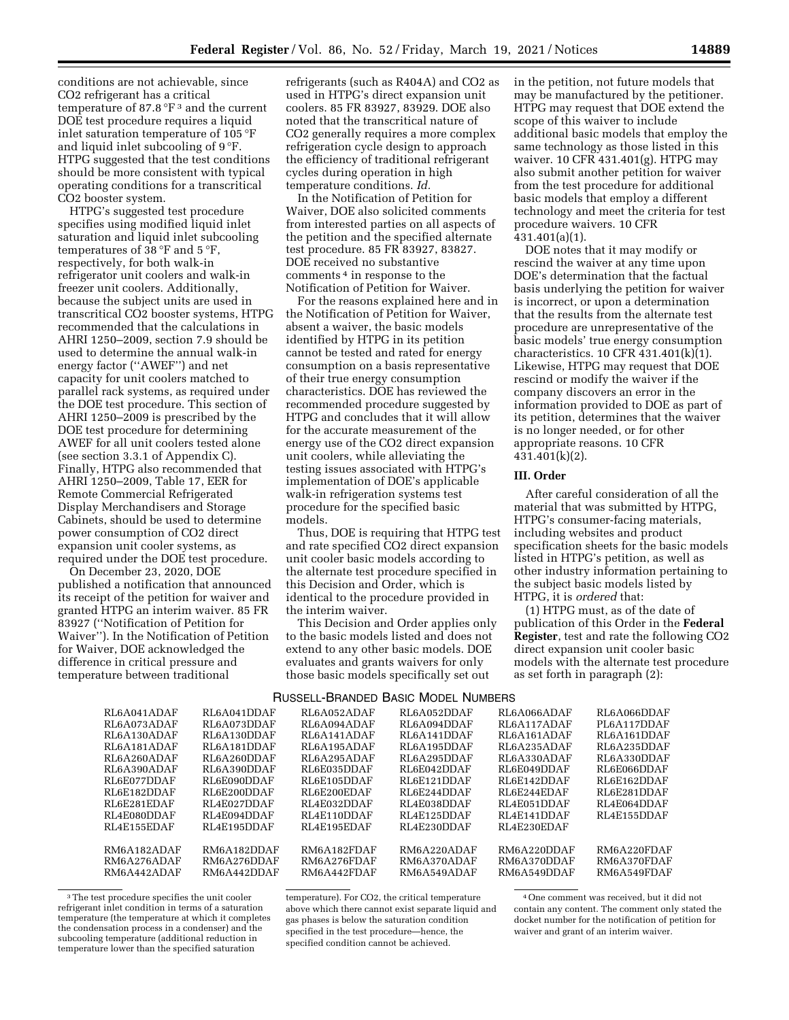conditions are not achievable, since CO2 refrigerant has a critical temperature of 87.8 °F 3 and the current DOE test procedure requires a liquid inlet saturation temperature of 105 °F and liquid inlet subcooling of 9 °F. HTPG suggested that the test conditions should be more consistent with typical operating conditions for a transcritical CO2 booster system.

HTPG's suggested test procedure specifies using modified liquid inlet saturation and liquid inlet subcooling temperatures of 38 °F and 5 °F, respectively, for both walk-in refrigerator unit coolers and walk-in freezer unit coolers. Additionally, because the subject units are used in transcritical CO2 booster systems, HTPG recommended that the calculations in AHRI 1250–2009, section 7.9 should be used to determine the annual walk-in energy factor (''AWEF'') and net capacity for unit coolers matched to parallel rack systems, as required under the DOE test procedure. This section of AHRI 1250–2009 is prescribed by the DOE test procedure for determining AWEF for all unit coolers tested alone (see section 3.3.1 of Appendix C). Finally, HTPG also recommended that AHRI 1250–2009, Table 17, EER for Remote Commercial Refrigerated Display Merchandisers and Storage Cabinets, should be used to determine power consumption of CO2 direct expansion unit cooler systems, as required under the DOE test procedure.

On December 23, 2020, DOE published a notification that announced its receipt of the petition for waiver and granted HTPG an interim waiver. 85 FR 83927 (''Notification of Petition for Waiver''). In the Notification of Petition for Waiver, DOE acknowledged the difference in critical pressure and temperature between traditional

refrigerants (such as R404A) and CO2 as used in HTPG's direct expansion unit coolers. 85 FR 83927, 83929. DOE also noted that the transcritical nature of CO2 generally requires a more complex refrigeration cycle design to approach the efficiency of traditional refrigerant cycles during operation in high temperature conditions. *Id.* 

In the Notification of Petition for Waiver, DOE also solicited comments from interested parties on all aspects of the petition and the specified alternate test procedure. 85 FR 83927, 83827. DOE received no substantive comments 4 in response to the Notification of Petition for Waiver.

For the reasons explained here and in the Notification of Petition for Waiver, absent a waiver, the basic models identified by HTPG in its petition cannot be tested and rated for energy consumption on a basis representative of their true energy consumption characteristics. DOE has reviewed the recommended procedure suggested by HTPG and concludes that it will allow for the accurate measurement of the energy use of the CO2 direct expansion unit coolers, while alleviating the testing issues associated with HTPG's implementation of DOE's applicable walk-in refrigeration systems test procedure for the specified basic models.

Thus, DOE is requiring that HTPG test and rate specified CO2 direct expansion unit cooler basic models according to the alternate test procedure specified in this Decision and Order, which is identical to the procedure provided in the interim waiver.

This Decision and Order applies only to the basic models listed and does not extend to any other basic models. DOE evaluates and grants waivers for only those basic models specifically set out

in the petition, not future models that may be manufactured by the petitioner. HTPG may request that DOE extend the scope of this waiver to include additional basic models that employ the same technology as those listed in this waiver. 10 CFR 431.401(g). HTPG may also submit another petition for waiver from the test procedure for additional basic models that employ a different technology and meet the criteria for test procedure waivers. 10 CFR 431.401(a)(1).

DOE notes that it may modify or rescind the waiver at any time upon DOE's determination that the factual basis underlying the petition for waiver is incorrect, or upon a determination that the results from the alternate test procedure are unrepresentative of the basic models' true energy consumption characteristics. 10 CFR  $\overline{431.401(k)}$  $(1)$ . Likewise, HTPG may request that DOE rescind or modify the waiver if the company discovers an error in the information provided to DOE as part of its petition, determines that the waiver is no longer needed, or for other appropriate reasons. 10 CFR 431.401(k)(2).

#### **III. Order**

After careful consideration of all the material that was submitted by HTPG, HTPG's consumer-facing materials, including websites and product specification sheets for the basic models listed in HTPG's petition, as well as other industry information pertaining to the subject basic models listed by HTPG, it is *ordered* that:

(1) HTPG must, as of the date of publication of this Order in the **Federal Register**, test and rate the following CO2 direct expansion unit cooler basic models with the alternate test procedure as set forth in paragraph (2):

## RUSSELL-BRANDED BASIC MODEL NUMBERS

| RL6A041ADAF | RL6A041DDAF | RL6A052ADAF | RL6A052DDAF | RL6A066ADAF | RL6A066DDAF |
|-------------|-------------|-------------|-------------|-------------|-------------|
| RL6A073ADAF | RL6A073DDAF | RL6A094ADAF | RL6A094DDAF | RL6A117ADAF | PL6A117DDAF |
| RL6A130ADAF | RL6A130DDAF | RL6A141ADAF | RL6A141DDAF | RL6A161ADAF | RL6A161DDAF |
| RL6A181ADAF | RL6A181DDAF | RL6A195ADAF | RL6A195DDAF | RL6A235ADAF | RL6A235DDAF |
| RL6A260ADAF | RL6A260DDAF | RL6A295ADAF | RL6A295DDAF | RL6A330ADAF | RL6A330DDAF |
| RL6A390ADAF | RL6A390DDAF | RL6E035DDAF | RL6E042DDAF | RL6E049DDAF | RL6E066DDAF |
| RL6E077DDAF | RL6E090DDAF | RL6E105DDAF | RL6E121DDAF | RL6E142DDAF | RL6E162DDAF |
| RL6E182DDAF | RL6E200DDAF | RL6E200EDAF | RL6E244DDAF | RL6E244EDAF | RL6E281DDAF |
| RL6E281EDAF | RL4E027DDAF | RL4E032DDAF | RL4E038DDAF | RL4E051DDAF | RL4E064DDAF |
| RL4E080DDAF | RL4E094DDAF | RL4E110DDAF | RL4E125DDAF | RL4E141DDAF | RL4E155DDAF |
| RL4E155EDAF | RL4E195DDAF | RL4E195EDAF | RL4E230DDAF | RL4E230EDAF |             |
|             |             |             |             |             |             |
| RM6A182ADAF | RM6A182DDAF | RM6A182FDAF | RM6A220ADAF | RM6A220DDAF | RM6A220FDAF |
| RM6A276ADAF | RM6A276DDAF | RM6A276FDAF | RM6A370ADAF | RM6A370DDAF | RM6A370FDAF |
| RM6A442ADAF | RM6A442DDAF | RM6A442FDAF | RM6A549ADAF | RM6A549DDAF | RM6A549FDAF |
|             |             |             |             |             |             |

<sup>&</sup>lt;sup>3</sup>The test procedure specifies the unit cooler refrigerant inlet condition in terms of a saturation temperature (the temperature at which it completes the condensation process in a condenser) and the subcooling temperature (additional reduction in temperature lower than the specified saturation

temperature). For CO2, the critical temperature above which there cannot exist separate liquid and gas phases is below the saturation condition specified in the test procedure—hence, the specified condition cannot be achieved.

4One comment was received, but it did not contain any content. The comment only stated the docket number for the notification of petition for waiver and grant of an interim waiver.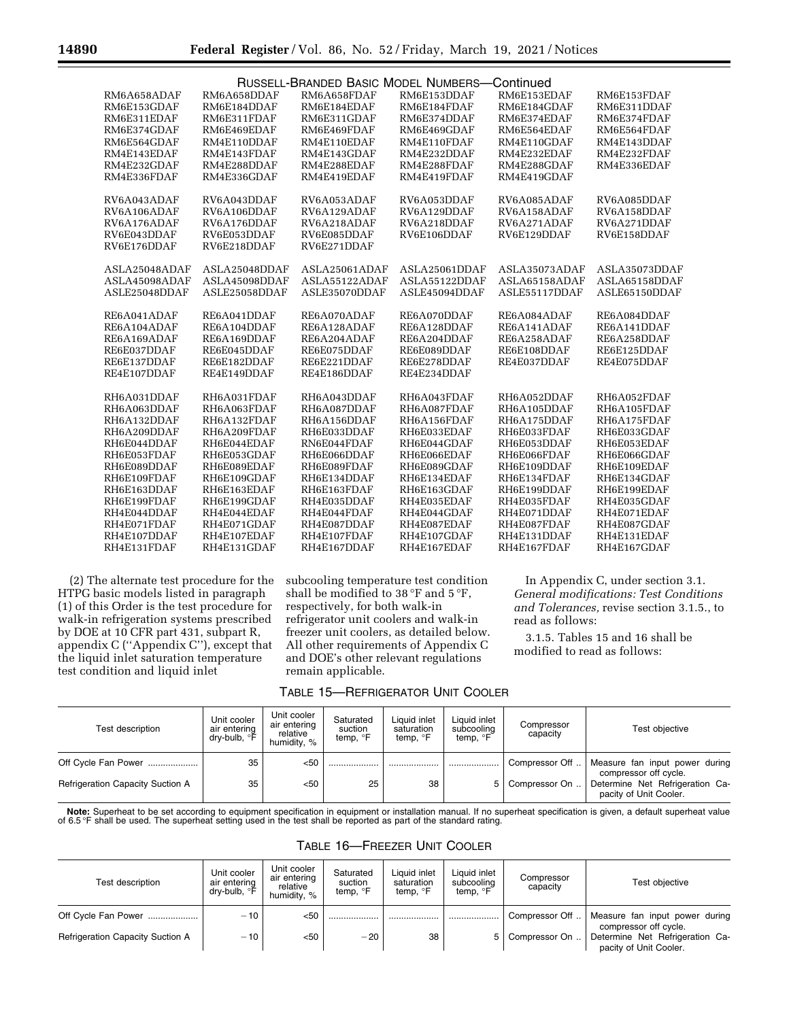|               |               | RUSSELL-BRANDED BASIC MODEL NUMBERS- |               | Continued     |               |
|---------------|---------------|--------------------------------------|---------------|---------------|---------------|
| RM6A658ADAF   | RM6A658DDAF   | RM6A658FDAF                          | RM6E153DDAF   | RM6E153EDAF   | RM6E153FDAF   |
| RM6E153GDAF   | RM6E184DDAF   | RM6E184EDAF                          | RM6E184FDAF   | RM6E184GDAF   | RM6E311DDAF   |
| RM6E311EDAF   | RM6E311FDAF   | RM6E311GDAF                          | RM6E374DDAF   | RM6E374EDAF   | RM6E374FDAF   |
| RM6E374GDAF   | RM6E469EDAF   | RM6E469FDAF                          | RM6E469GDAF   | RM6E564EDAF   | RM6E564FDAF   |
| RM6E564GDAF   | RM4E110DDAF   | RM4E110EDAF                          | RM4E110FDAF   | RM4E110GDAF   | RM4E143DDAF   |
| RM4E143EDAF   | RM4E143FDAF   | RM4E143GDAF                          | RM4E232DDAF   | RM4E232EDAF   | RM4E232FDAF   |
| RM4E232GDAF   | RM4E288DDAF   | RM4E288EDAF                          | RM4E288FDAF   | RM4E288GDAF   | RM4E336EDAF   |
| RM4E336FDAF   | RM4E336GDAF   | RM4E419EDAF                          | RM4E419FDAF   | RM4E419GDAF   |               |
|               |               |                                      |               |               |               |
| RV6A043ADAF   | RV6A043DDAF   | RV6A053ADAF                          | RV6A053DDAF   | RV6A085ADAF   | RV6A085DDAF   |
| RV6A106ADAF   | RV6A106DDAF   | RV6A129ADAF                          | RV6A129DDAF   | RV6A158ADAF   | RV6A158DDAF   |
| RV6A176ADAF   | RV6A176DDAF   | RV6A218ADAF                          | RV6A218DDAF   | RV6A271ADAF   | RV6A271DDAF   |
| RV6E043DDAF   | RV6E053DDAF   | RV6E085DDAF                          | RV6E106DDAF   | RV6E129DDAF   | RV6E158DDAF   |
| RV6E176DDAF   | RV6E218DDAF   | RV6E271DDAF                          |               |               |               |
| ASLA25048ADAF | ASLA25048DDAF | ASLA25061ADAF                        | ASLA25061DDAF | ASLA35073ADAF | ASLA35073DDAF |
| ASLA45098ADAF | ASLA45098DDAF | ASLA55122ADAF                        | ASLA55122DDAF | ASLA65158ADAF | ASLA65158DDAF |
| ASLE25048DDAF | ASLE25058DDAF | ASLE35070DDAF                        | ASLE45094DDAF | ASLE55117DDAF | ASLE65150DDAF |
|               |               |                                      |               |               |               |
| RE6A041ADAF   | RE6A041DDAF   | RE6A070ADAF                          | RE6A070DDAF   | RE6A084ADAF   | RE6A084DDAF   |
| RE6A104ADAF   | RE6A104DDAF   | RE6A128ADAF                          | RE6A128DDAF   | RE6A141ADAF   | RE6A141DDAF   |
| RE6A169ADAF   | RE6A169DDAF   | RE6A204ADAF                          | RE6A204DDAF   | RE6A258ADAF   | RE6A258DDAF   |
| RE6E037DDAF   | RE6E045DDAF   | RE6E075DDAF                          | RE6E089DDAF   | RE6E108DDAF   | RE6E125DDAF   |
| RE6E137DDAF   | RE6E182DDAF   | RE6E221DDAF                          | RE6E278DDAF   | RE4E037DDAF   | RE4E075DDAF   |
| RE4E107DDAF   | RE4E149DDAF   | RE4E186DDAF                          | RE4E234DDAF   |               |               |
| RH6A031DDAF   | RH6A031FDAF   | RH6A043DDAF                          | RH6A043FDAF   | RH6A052DDAF   | RH6A052FDAF   |
| RH6A063DDAF   | RH6A063FDAF   | RH6A087DDAF                          | RH6A087FDAF   | RH6A105DDAF   | RH6A105FDAF   |
| RH6A132DDAF   | RH6A132FDAF   | RH6A156DDAF                          | RH6A156FDAF   | RH6A175DDAF   | RH6A175FDAF   |
| RH6A209DDAF   | RH6A209FDAF   | RH6E033DDAF                          | RH6E033EDAF   | RH6E033FDAF   | RH6E033GDAF   |
| RH6E044DDAF   | RH6E044EDAF   | RN6E044FDAF                          | RH6E044GDAF   | RH6E053DDAF   | RH6E053EDAF   |
| RH6E053FDAF   | RH6E053GDAF   | RH6E066DDAF                          | RH6E066EDAF   | RH6E066FDAF   | RH6E066GDAF   |
| RH6E089DDAF   | RH6E089EDAF   | RH6E089FDAF                          | RH6E089GDAF   | RH6E109DDAF   | RH6E109EDAF   |
| RH6E109FDAF   | RH6E109GDAF   | RH6E134DDAF                          | RH6E134EDAF   | RH6E134FDAF   | RH6E134GDAF   |
| RH6E163DDAF   | RH6E163EDAF   | RH6E163FDAF                          | RH6E163GDAF   | RH6E199DDAF   | RH6E199EDAF   |
| RH6E199FDAF   | RH6E199GDAF   | RH4E035DDAF                          | RH4E035EDAF   | RH4E035FDAF   | RH4E035GDAF   |
| RH4E044DDAF   | RH4E044EDAF   | RH4E044FDAF                          | RH4E044GDAF   | RH4E071DDAF   | RH4E071EDAF   |
| RH4E071FDAF   | RH4E071GDAF   | RH4E087DDAF                          | RH4E087EDAF   | RH4E087FDAF   | RH4E087GDAF   |
| RH4E107DDAF   | RH4E107EDAF   | RH4E107FDAF                          | RH4E107GDAF   | RH4E131DDAF   | RH4E131EDAF   |
| RH4E131FDAF   | RH4E131GDAF   | RH4E167DDAF                          | RH4E167EDAF   | RH4E167FDAF   | RH4E167GDAF   |

(2) The alternate test procedure for the HTPG basic models listed in paragraph (1) of this Order is the test procedure for walk-in refrigeration systems prescribed by DOE at 10 CFR part 431, subpart R, appendix C (''Appendix C''), except that the liquid inlet saturation temperature test condition and liquid inlet

subcooling temperature test condition shall be modified to 38 °F and 5 °F, respectively, for both walk-in refrigerator unit coolers and walk-in freezer unit coolers, as detailed below. All other requirements of Appendix C and DOE's other relevant regulations remain applicable.

TABLE 15—REFRIGERATOR UNIT COOLER

In Appendix C, under section 3.1. *General modifications: Test Conditions and Tolerances,* revise section 3.1.5., to read as follows:

3.1.5. Tables 15 and 16 shall be modified to read as follows:

| Test description                        | Unit cooler<br>air entering<br>` dry-bulb, °F ⊥ | Unit cooler<br>air entering<br>relative<br>humidity. % | Saturated<br>suction<br>temp, <sup>o</sup> F | Liquid inlet<br>saturation<br>temp, $\degree$ F | Liquid inlet<br>subcooling<br>temp, <sup>o</sup> F | Compressor<br>capacity | Test objective                                            |
|-----------------------------------------|-------------------------------------------------|--------------------------------------------------------|----------------------------------------------|-------------------------------------------------|----------------------------------------------------|------------------------|-----------------------------------------------------------|
| Off Cycle Fan Power                     | 35                                              | $50$                                                   |                                              |                                                 |                                                    | Compressor Off         | Measure fan input power during<br>compressor off cycle.   |
| <b>Refrigeration Capacity Suction A</b> | 35                                              | $50$                                                   | 25                                           | 38                                              | 5 <sup>1</sup>                                     | Compressor On          | Determine Net Refrigeration Ca-<br>pacity of Unit Cooler. |

Note: Superheat to be set according to equipment specification in equipment or installation manual. If no superheat specification is given, a default superheat value<br>of 6.5°F shall be used. The superheat setting used in th

| <b>TABLE 16-FREEZER UNIT COOLER</b> |  |  |
|-------------------------------------|--|--|
|-------------------------------------|--|--|

| Test description                        | Unit cooler<br>air entering<br>dry-bulb, °F ⊣ | Unit cooler<br>air entering<br>relative<br>humidity. % | Saturated<br>suction<br>temp, <sup>o</sup> F | Liquid inlet<br>saturation<br>temp, <sup>o</sup> F | Liquid inlet<br>subcooling<br>temp, °F | Compressor<br>capacity | Test objective                                            |
|-----------------------------------------|-----------------------------------------------|--------------------------------------------------------|----------------------------------------------|----------------------------------------------------|----------------------------------------|------------------------|-----------------------------------------------------------|
| Off Cycle Fan Power                     | $-10$                                         | <50                                                    |                                              |                                                    |                                        | Compressor Off         | Measure fan input power during<br>compressor off cycle.   |
| <b>Refrigeration Capacity Suction A</b> | $-10$                                         | <50                                                    | $-20$                                        | 38                                                 |                                        | 5   Compressor On      | Determine Net Refrigeration Ca-<br>pacity of Unit Cooler. |